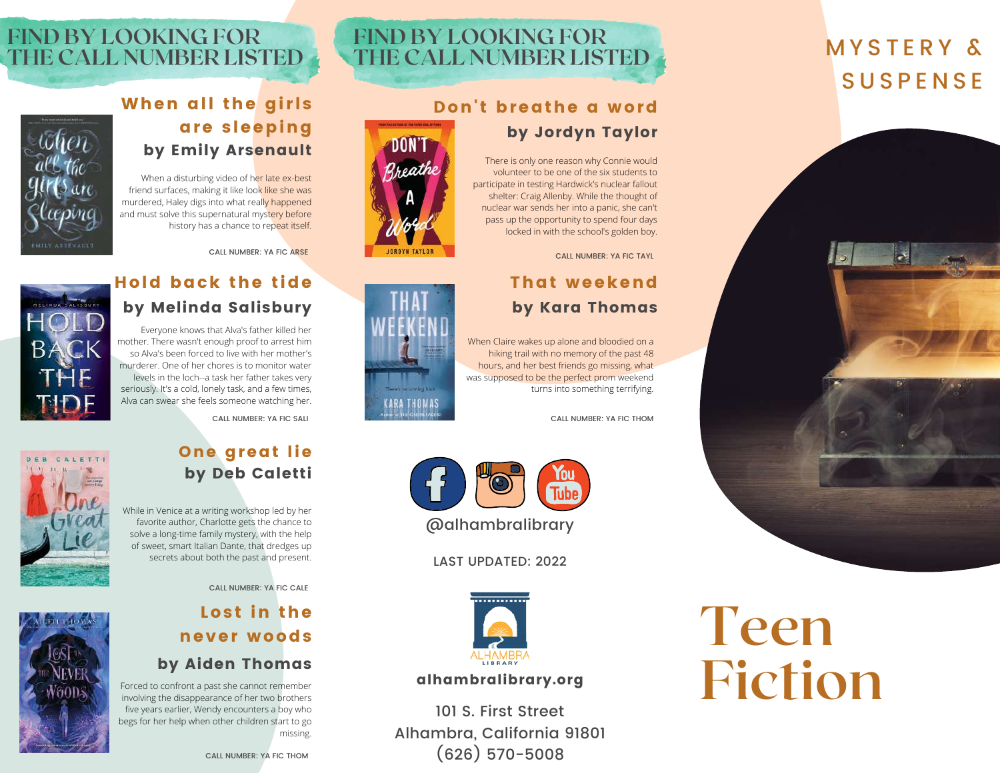# M Y S T E R Y & **SUSPENSE**



**Teen**

**Fiction**

# **FIND BY LOOKING FOR THE CALL NUMBER LISTED**

DON'T

Zreathe

**IGROYN TAYLOR** 

#### Don't breathe a word by Jordyn Taylor

There is only one reason why Connie would volunteer to be one of the six students to participate in testing Hardwick's nuclear fallout shelter: Craig Allenby. While the thought of nuclear war sends her into a panic, she can't pass up the opportunity to spend four days locked in with the school's golden boy.

CALL NUMBER: YA FIC TAYL

#### That weekend by Kara Thomas

When Claire wakes up alone and bloodied on a hiking trail with no memory of the past 48 hours, and her best friends go missing, what was supposed to be the perfect prom weekend turns into something terrifying.

CALL NUMBER: YA FIC THOM



LAST UPDATED: 2022



#### alhambralibrary.org

101 S. First Street Alhambra, California 91801 (626) 570-5008

## **FIND BY LOOKING FOR THE CALL NUMBER LISTED**

#### When all the girls are sleeping by Emily Arsenault

When a disturbing video of her late ex-best friend surfaces, making it like look like she was murdered, Haley digs into what really happened and must solve this supernatural mystery before history has a chance to repeat itself.





# Hold back the tide

Everyone knows that Alva's father killed her mother. There wasn't enough proof to arrest him murderer. One of her chores is to monitor water seriously. It's a cold, lonely task, and a few times, Alva can swear she feels someone watching her.



so Alva's been forced to live with her mother's levels in the loch--a task her father takes very

CALL NUMBER: YA FIC SALI

# by Deb Caletti While in Venice at a writing workshop led by her

One great lie

favorite author, Charlotte gets the chance to solve a long-time family mystery, with the help of sweet, smart Italian Dante, that dredges up secrets about both the past and present.

CALL NUMBER: YA FIC CALE

# Lost in the never woods

#### by Aiden Thomas

Forced to confront a past she cannot remember involving the disappearance of her two brothers five years earlier, Wendy encounters a boy who begs for her help when other children start to go missing.



THE